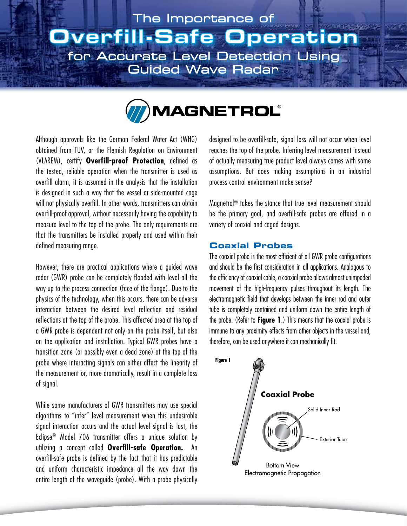# The Importance of **Jverfill-Safe Operatio** for Accurate Level Detection Using **Guided Wave Radar**



Although approvals like the German Federal Water Act (WHG) obtained from TUV, or the Flemish Regulation on Environment (VLAREM), certify **Overfill-proof Protection**, defined as the tested, reliable operation when the transmitter is used as overfill alarm, it is assumed in the analysis that the installation is designed in such a way that the vessel or side-mounted cage will not physically overfill. In other words, transmitters can obtain overfill-proof approval, without necessarily having the capability to measure level to the top of the probe. The only requirements are that the transmitters be installed properly and used within their defined measuring range.

However, there are practical applications where a guided wave radar (GWR) probe can be completely flooded with level all the way up to the process connection (face of the flange). Due to the physics of the technology, when this occurs, there can be adverse interaction between the desired level reflection and residual reflections at the top of the probe. This affected area at the top of a GWR probe is dependent not only on the probe itself, but also on the application and installation. Typical GWR probes have a transition zone (or possibly even a dead zone) at the top of the probe where interacting signals can either affect the linearity of the measurement or, more dramatically, result in a complete loss of signal.

While some manufacturers of GWR transmitters may use special algorithms to "infer" level measurement when this undesirable signal interaction occurs and the actual level signal is lost, the Eclipse® Model 706 transmitter offers a unique solution by utilizing a concept called **Overfill-safe Operation.** An overfill-safe probe is defined by the fact that it has predictable and uniform characteristic impedance all the way down the entire length of the waveguide (probe). With a probe physically designed to be overfill-safe, signal loss will not occur when level reaches the top of the probe. Inferring level measurement instead of actually measuring true product level always comes with some assumptions. But does making assumptions in an industrial process control environment make sense?

Magnetrol® takes the stance that true level measurement should be the primary goal, and overfill-safe probes are offered in a variety of coaxial and caged designs.

### **Coaxial Probes**

The coaxial probe is the most efficient of all GWR probe configurations and should be the first consideration in all applications. Analogous to the efficiency of coaxial cable, a coaxial probe allows almost unimpeded movement of the high-frequency pulses throughout its length. The electromagnetic field that develops between the inner rod and outer tube is completely contained and uniform down the entire length of the probe. (Refer to **Figure 1**.) This means that the coaxial probe is immune to any proximity effects from other objects in the vessel and, therefore, can be used anywhere it can mechanically fit.

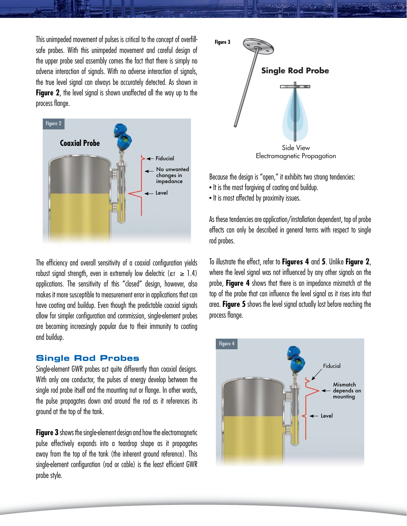This unimpeded movement of pulses is critical to the concept of overfillsafe probes. With this unimpeded movement and careful design of the upper probe seal assembly comes the fact that there is simply no adverse interaction of signals. With no adverse interaction of signals, the true level signal can always be accurately detected. As shown in **Figure 2**, the level signal is shown unaffected all the way up to the process flange.



The efficiency and overall sensitivity of a coaxial configuration yields robust signal strength, even in extremely low dielectric ( $\epsilon r \ge 1.4$ ) applications. The sensitivity of this "closed" design, however, also makes it more susceptible to measurement error in applications that can have coating and buildup. Even though the predictable coaxial signals allow for simpler configuration and commission, single-element probes are becoming increasingly popular due to their immunity to coating and buildup.

#### **Single Rod Probes**

Single-element GWR probes act quite differently than coaxial designs. With only one conductor, the pulses of energy develop between the single rod probe itself and the mounting nut or flange. In other words, the pulse propagates down and around the rod as it references its ground at the top of the tank.

**Figure 3** shows the single-element design and how the electromagnetic pulse effectively expands into a teardrop shape as it propagates away from the top of the tank (the inherent ground reference). This single-element configuration (rod or cable) is the least efficient GWR probe style.



Because the design is "open," it exhibits two strong tendencies:

- It is the most forgiving of coating and buildup.
- It is most affected by proximity issues.

As these tendencies are application/installation dependent, top of probe effects can only be described in general terms with respect to single rod probes.

To illustrate the effect, refer to **Figures 4** and **5**. Unlike **Figure 2**, where the level signal was not influenced by any other signals on the probe, **Figure 4** shows that there is an impedance mismatch at the top of the probe that can influence the level signal as it rises into that area. **Figure 5** shows the level signal actually lost before reaching the process flange.